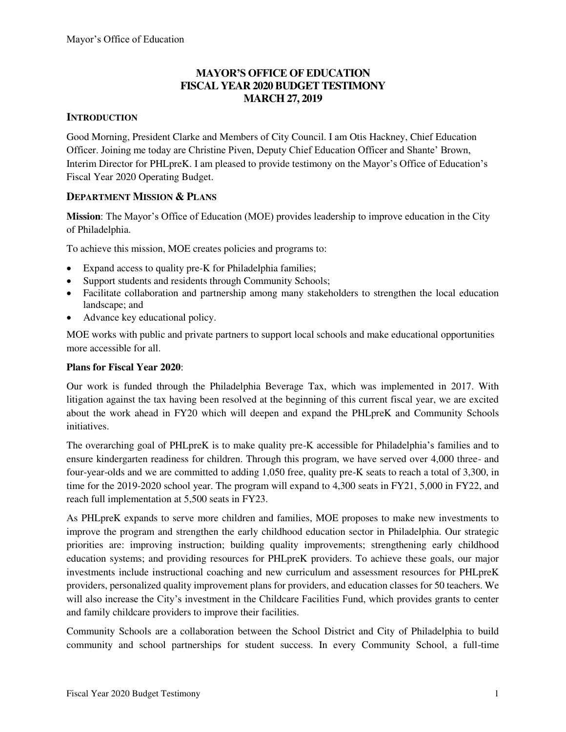### **MAYOR'S OFFICE OF EDUCATION FISCAL YEAR 2020 BUDGET TESTIMONY MARCH 27, 2019**

### **INTRODUCTION**

Good Morning, President Clarke and Members of City Council. I am Otis Hackney, Chief Education Officer. Joining me today are Christine Piven, Deputy Chief Education Officer and Shante' Brown, Interim Director for PHLpreK. I am pleased to provide testimony on the Mayor's Office of Education's Fiscal Year 2020 Operating Budget.

### **DEPARTMENT MISSION & PLANS**

**Mission**: The Mayor's Office of Education (MOE) provides leadership to improve education in the City of Philadelphia.

To achieve this mission, MOE creates policies and programs to:

- Expand access to quality pre-K for Philadelphia families;
- Support students and residents through Community Schools;
- Facilitate collaboration and partnership among many stakeholders to strengthen the local education landscape; and
- Advance key educational policy.

MOE works with public and private partners to support local schools and make educational opportunities more accessible for all.

### **Plans for Fiscal Year 2020**:

Our work is funded through the Philadelphia Beverage Tax, which was implemented in 2017. With litigation against the tax having been resolved at the beginning of this current fiscal year, we are excited about the work ahead in FY20 which will deepen and expand the PHLpreK and Community Schools initiatives.

The overarching goal of PHLpreK is to make quality pre-K accessible for Philadelphia's families and to ensure kindergarten readiness for children. Through this program, we have served over 4,000 three- and four-year-olds and we are committed to adding 1,050 free, quality pre-K seats to reach a total of 3,300, in time for the 2019-2020 school year. The program will expand to 4,300 seats in FY21, 5,000 in FY22, and reach full implementation at 5,500 seats in FY23.

As PHLpreK expands to serve more children and families, MOE proposes to make new investments to improve the program and strengthen the early childhood education sector in Philadelphia. Our strategic priorities are: improving instruction; building quality improvements; strengthening early childhood education systems; and providing resources for PHLpreK providers. To achieve these goals, our major investments include instructional coaching and new curriculum and assessment resources for PHLpreK providers, personalized quality improvement plans for providers, and education classes for 50 teachers. We will also increase the City's investment in the Childcare Facilities Fund, which provides grants to center and family childcare providers to improve their facilities.

Community Schools are a collaboration between the School District and City of Philadelphia to build community and school partnerships for student success. In every Community School, a full-time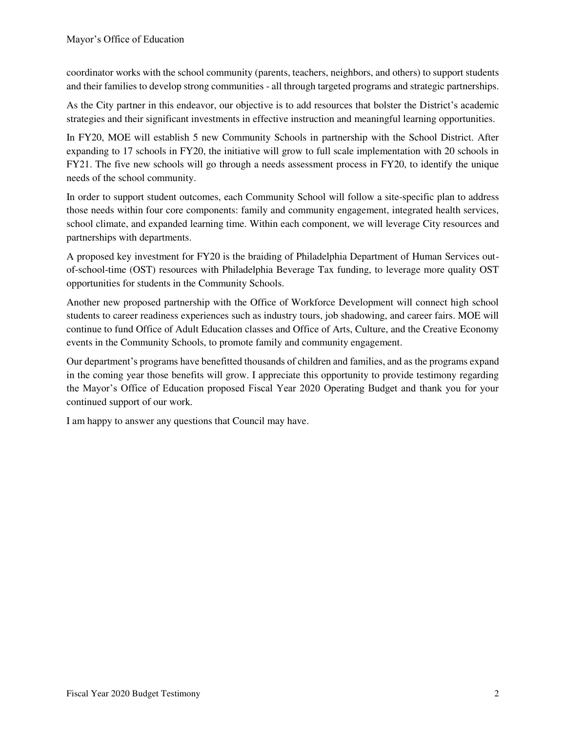coordinator works with the school community (parents, teachers, neighbors, and others) to support students and their families to develop strong communities - all through targeted programs and strategic partnerships.

As the City partner in this endeavor, our objective is to add resources that bolster the District's academic strategies and their significant investments in effective instruction and meaningful learning opportunities.

In FY20, MOE will establish 5 new Community Schools in partnership with the School District. After expanding to 17 schools in FY20, the initiative will grow to full scale implementation with 20 schools in FY21. The five new schools will go through a needs assessment process in FY20, to identify the unique needs of the school community.

In order to support student outcomes, each Community School will follow a site-specific plan to address those needs within four core components: family and community engagement, integrated health services, school climate, and expanded learning time. Within each component, we will leverage City resources and partnerships with departments.

A proposed key investment for FY20 is the braiding of Philadelphia Department of Human Services outof-school-time (OST) resources with Philadelphia Beverage Tax funding, to leverage more quality OST opportunities for students in the Community Schools.

Another new proposed partnership with the Office of Workforce Development will connect high school students to career readiness experiences such as industry tours, job shadowing, and career fairs. MOE will continue to fund Office of Adult Education classes and Office of Arts, Culture, and the Creative Economy events in the Community Schools, to promote family and community engagement.

Our department's programs have benefitted thousands of children and families, and as the programs expand in the coming year those benefits will grow. I appreciate this opportunity to provide testimony regarding the Mayor's Office of Education proposed Fiscal Year 2020 Operating Budget and thank you for your continued support of our work.

I am happy to answer any questions that Council may have.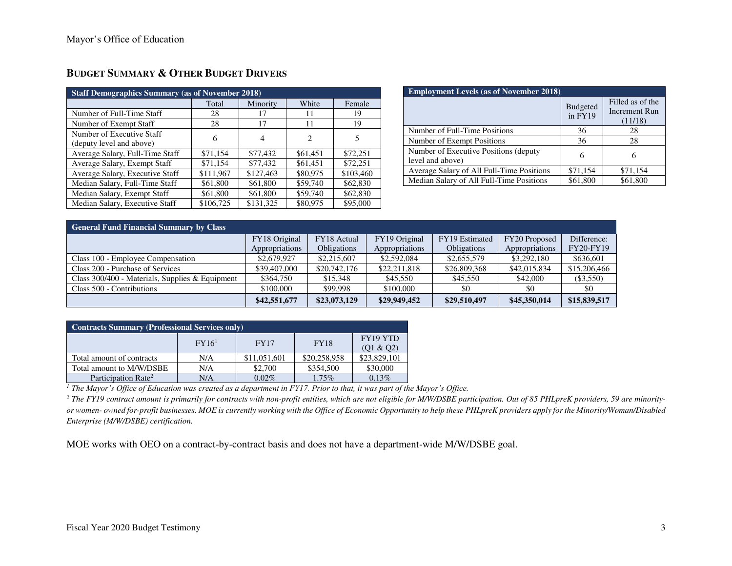| <b>Staff Demographics Summary (as of November 2018)</b> |           |           |                             |           |  |  |  |
|---------------------------------------------------------|-----------|-----------|-----------------------------|-----------|--|--|--|
|                                                         | Total     | Minority  | White                       | Female    |  |  |  |
| Number of Full-Time Staff                               | 28        | 17        | 11                          | 19        |  |  |  |
| Number of Exempt Staff                                  | 28        | 17        | 11                          | 19        |  |  |  |
| Number of Executive Staff<br>(deputy level and above)   | 6         | 4         | $\mathcal{D}_{\mathcal{L}}$ | 5         |  |  |  |
| Average Salary, Full-Time Staff                         | \$71,154  | \$77,432  | \$61,451                    | \$72,251  |  |  |  |
| Average Salary, Exempt Staff                            | \$71,154  | \$77,432  | \$61,451                    | \$72,251  |  |  |  |
| Average Salary, Executive Staff                         | \$111,967 | \$127,463 | \$80,975                    | \$103,460 |  |  |  |
| Median Salary, Full-Time Staff                          | \$61,800  | \$61,800  | \$59,740                    | \$62,830  |  |  |  |
| Median Salary, Exempt Staff                             | \$61,800  | \$61,800  | \$59,740                    | \$62,830  |  |  |  |
| Median Salary, Executive Staff                          | \$106,725 | \$131,325 | \$80,975                    | \$95,000  |  |  |  |

### **BUDGET SUMMARY & OTHER BUDGET DRIVERS**

| <b>Employment Levels (as of November 2018)</b>             |                            |                                                     |  |  |  |
|------------------------------------------------------------|----------------------------|-----------------------------------------------------|--|--|--|
|                                                            | <b>Budgeted</b><br>in FY19 | Filled as of the<br><b>Increment Run</b><br>(11/18) |  |  |  |
| Number of Full-Time Positions                              | 36                         | 28                                                  |  |  |  |
| Number of Exempt Positions                                 | 36                         | 28                                                  |  |  |  |
| Number of Executive Positions (deputy)<br>level and above) | 6                          |                                                     |  |  |  |
| Average Salary of All Full-Time Positions                  | \$71,154                   | \$71,154                                            |  |  |  |
| Median Salary of All Full-Time Positions                   | \$61,800                   | \$61,800                                            |  |  |  |

| <b>General Fund Financial Summary by Class</b>  |                |                    |                |                    |                |                  |  |
|-------------------------------------------------|----------------|--------------------|----------------|--------------------|----------------|------------------|--|
|                                                 | FY18 Original  | FY18 Actual        | FY19 Original  | FY19 Estimated     | FY20 Proposed  | Difference:      |  |
|                                                 | Appropriations | <b>Obligations</b> | Appropriations | <b>Obligations</b> | Appropriations | <b>FY20-FY19</b> |  |
| Class 100 - Employee Compensation               | \$2,679,927    | \$2,215,607        | \$2,592,084    | \$2,655,579        | \$3,292,180    | \$636,601        |  |
| Class 200 - Purchase of Services                | \$39,407,000   | \$20,742,176       | \$22,211,818   | \$26,809,368       | \$42,015,834   | \$15,206,466     |  |
| Class 300/400 - Materials, Supplies & Equipment | \$364,750      | \$15,348           | \$45,550       | \$45,550           | \$42,000       | $(\$3,550)$      |  |
| Class 500 - Contributions                       | \$100,000      | \$99,998           | \$100,000      | \$0                | \$0            | \$0              |  |
|                                                 | \$42,551,677   | \$23,073,129       | \$29,949,452   | \$29,510,497       | \$45,350,014   | \$15,839,517     |  |

| <b>Contracts Summary (Professional Services only)</b>                  |     |              |              |              |  |  |
|------------------------------------------------------------------------|-----|--------------|--------------|--------------|--|--|
| <b>FY19 YTD</b><br>$FY16^1$<br><b>FY17</b><br><b>FY18</b><br>(01 & 02) |     |              |              |              |  |  |
| Total amount of contracts                                              | N/A | \$11,051,601 | \$20,258,958 | \$23,829,101 |  |  |
| Total amount to M/W/DSBE                                               | N/A | \$2,700      | \$354,500    | \$30,000     |  |  |
| Participation Rate <sup>2</sup>                                        | N/A | $0.02\%$     | $1.75\%$     | 0.13%        |  |  |

*<sup>1</sup> The Mayor's Office of Education was created as a department in FY17. Prior to that, it was part of the Mayor's Office.*

<sup>2</sup> The FY19 contract amount is primarily for contracts with non-profit entities, which are not eligible for M/W/DSBE participation. Out of 85 PHLpreK providers, 59 are minority*or women- owned for-profit businesses. MOE is currently working with the Office of Economic Opportunity to help these PHLpreK providers apply for the Minority/Woman/Disabled Enterprise (M/W/DSBE) certification.* 

MOE works with OEO on a contract-by-contract basis and does not have a department-wide M/W/DSBE goal.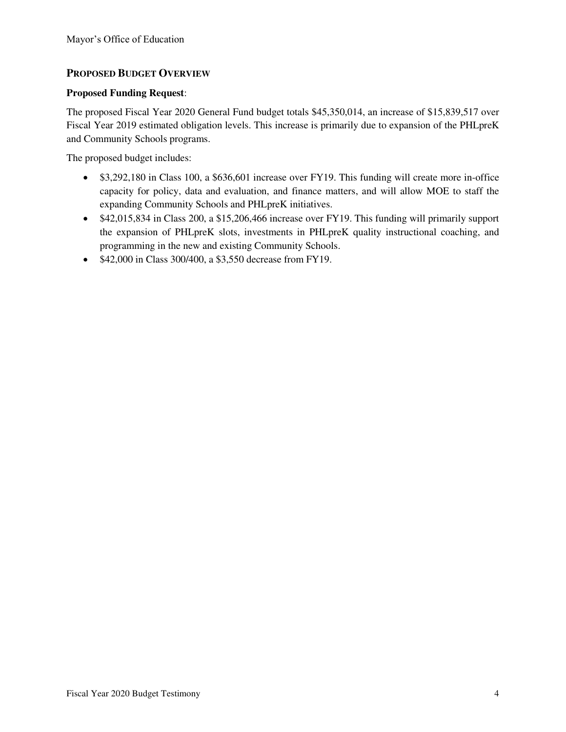### **PROPOSED BUDGET OVERVIEW**

#### **Proposed Funding Request**:

The proposed Fiscal Year 2020 General Fund budget totals \$45,350,014, an increase of \$15,839,517 over Fiscal Year 2019 estimated obligation levels. This increase is primarily due to expansion of the PHLpreK and Community Schools programs.

The proposed budget includes:

- \$3,292,180 in Class 100, a \$636,601 increase over FY19. This funding will create more in-office capacity for policy, data and evaluation, and finance matters, and will allow MOE to staff the expanding Community Schools and PHLpreK initiatives.
- \$42,015,834 in Class 200, a \$15,206,466 increase over FY19. This funding will primarily support the expansion of PHLpreK slots, investments in PHLpreK quality instructional coaching, and programming in the new and existing Community Schools.
- \$42,000 in Class 300/400, a \$3,550 decrease from FY19.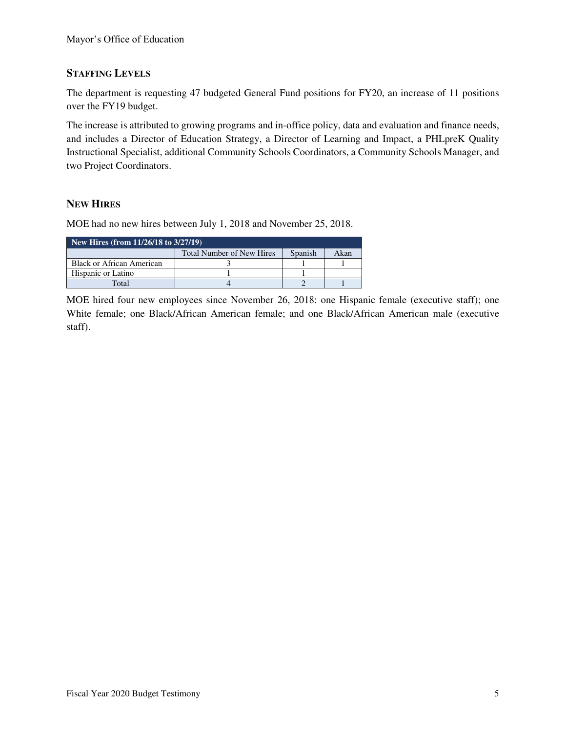### **STAFFING LEVELS**

The department is requesting 47 budgeted General Fund positions for FY20, an increase of 11 positions over the FY19 budget.

The increase is attributed to growing programs and in-office policy, data and evaluation and finance needs, and includes a Director of Education Strategy, a Director of Learning and Impact, a PHLpreK Quality Instructional Specialist, additional Community Schools Coordinators, a Community Schools Manager, and two Project Coordinators.

### **NEW HIRES**

MOE had no new hires between July 1, 2018 and November 25, 2018.

| New Hires (from $11/26/18$ to $3/27/19$ ) |                                  |         |      |  |  |  |
|-------------------------------------------|----------------------------------|---------|------|--|--|--|
|                                           | <b>Total Number of New Hires</b> | Spanish | Akan |  |  |  |
| <b>Black or African American</b>          |                                  |         |      |  |  |  |
| Hispanic or Latino                        |                                  |         |      |  |  |  |
| Total                                     |                                  |         |      |  |  |  |

MOE hired four new employees since November 26, 2018: one Hispanic female (executive staff); one White female; one Black/African American female; and one Black/African American male (executive staff).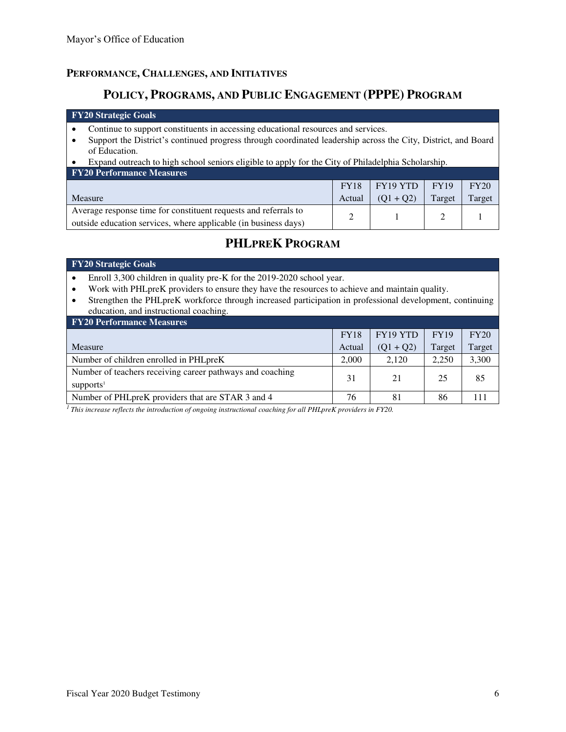### **PERFORMANCE, CHALLENGES, AND INITIATIVES**

## **POLICY, PROGRAMS, AND PUBLIC ENGAGEMENT (PPPE) PROGRAM**

#### **FY20 Strategic Goals**

- Continue to support constituents in accessing educational resources and services.
- Support the District's continued progress through coordinated leadership across the City, District, and Board of Education.
- Expand outreach to high school seniors eligible to apply for the City of Philadelphia Scholarship.

| <b>FY20 Performance Measures</b>                                |             |                        |             |        |  |  |
|-----------------------------------------------------------------|-------------|------------------------|-------------|--------|--|--|
|                                                                 | <b>FY18</b> | $\mid$ FY19 YTD $\mid$ | <b>FY19</b> | FY20   |  |  |
| <b>Measure</b>                                                  | Actual      | $(Q1 + Q2)$            | Target      | Target |  |  |
| Average response time for constituent requests and referrals to |             |                        |             |        |  |  |
| outside education services, where applicable (in business days) |             |                        |             |        |  |  |

# **PHLPREK PROGRAM**

#### **FY20 Strategic Goals**

- Enroll 3,300 children in quality pre-K for the 2019-2020 school year.
- Work with PHLpreK providers to ensure they have the resources to achieve and maintain quality.
- Strengthen the PHLpreK workforce through increased participation in professional development, continuing education, and instructional coaching.

| <b>FY20 Performance Measures</b>                                                   |             |             |             |        |
|------------------------------------------------------------------------------------|-------------|-------------|-------------|--------|
|                                                                                    | <b>FY18</b> | FY19 YTD    | <b>FY19</b> | FY20   |
| Measure                                                                            | Actual      | $(Q1 + Q2)$ | Target      | Target |
| Number of children enrolled in PHLpreK                                             | 2.000       | 2.120       | 2.250       | 3,300  |
| Number of teachers receiving career pathways and coaching<br>supports <sup>1</sup> | 31          | 21          | 25          | 85     |
| Number of PHL pre K providers that are STAR 3 and 4                                | 76          | 81          | 86          |        |

*<sup>1</sup>This increase reflects the introduction of ongoing instructional coaching for all PHLpreK providers in FY20.*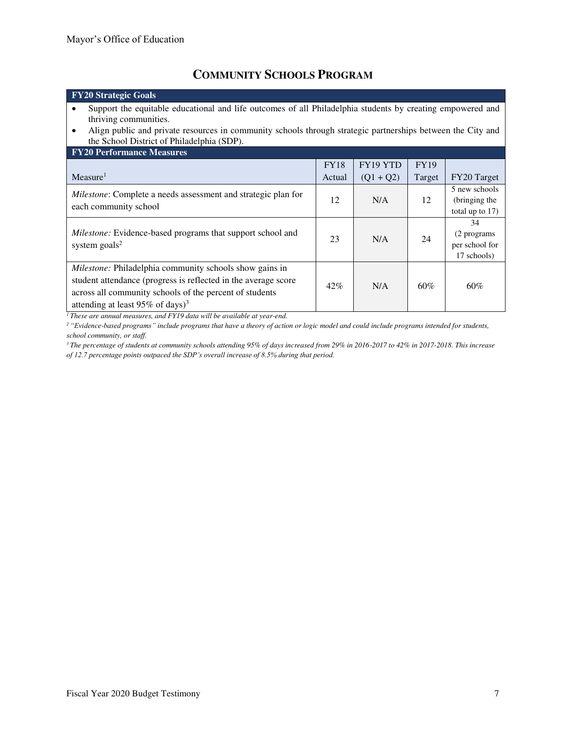# **COMMUNITY SCHOOLS PROGRAM**

| <b>FY20 Strategic Goals</b>                                                                                 |             |             |             |                    |  |
|-------------------------------------------------------------------------------------------------------------|-------------|-------------|-------------|--------------------|--|
| Support the equitable educational and life outcomes of all Philadelphia students by creating empowered and  |             |             |             |                    |  |
| thriving communities.                                                                                       |             |             |             |                    |  |
| Align public and private resources in community schools through strategic partnerships between the City and |             |             |             |                    |  |
| the School District of Philadelphia (SDP).                                                                  |             |             |             |                    |  |
| <b>FY20 Performance Measures</b>                                                                            |             |             |             |                    |  |
|                                                                                                             | <b>FY18</b> | FY19 YTD    | <b>FY19</b> |                    |  |
| Measure <sup>1</sup>                                                                                        | Actual      | $(Q1 + Q2)$ | Target      | FY20 Target        |  |
| Milestone: Complete a needs assessment and strategic plan for<br>each community school                      |             | N/A         | 12          | 5 new schools      |  |
|                                                                                                             |             |             |             | (bringing the      |  |
|                                                                                                             |             |             |             | total up to $17$ ) |  |
|                                                                                                             |             |             |             | 34                 |  |
| Milestone: Evidence-based programs that support school and                                                  | 23          | N/A         | 24          | (2 programs)       |  |
| system $\text{goals}^2$                                                                                     |             |             |             | per school for     |  |
|                                                                                                             |             |             |             | 17 schools)        |  |
| Milestone: Philadelphia community schools show gains in                                                     |             |             |             |                    |  |
| student attendance (progress is reflected in the average score                                              |             | N/A         | $60\%$      |                    |  |
| across all community schools of the percent of students                                                     | $42\%$      |             |             | $60\%$             |  |
| attending at least 95% of days) <sup>3</sup>                                                                |             |             |             |                    |  |
| $1 - r$<br>$1 - 1$<br>$\cdots$                                                                              |             |             |             |                    |  |

*<sup>1</sup>These are annual measures, and FY19 data will be available at year-end.* 

*<sup>2</sup>"Evidence-based programs" include programs that have a theory of action or logic model and could include programs intended for students, school community, or staff.* 

*<sup>3</sup>The percentage of students at community schools attending 95% of days increased from 29% in 2016-2017 to 42% in 2017-2018. This increase of 12.7 percentage points outpaced the SDP's overall increase of 8.5% during that period.*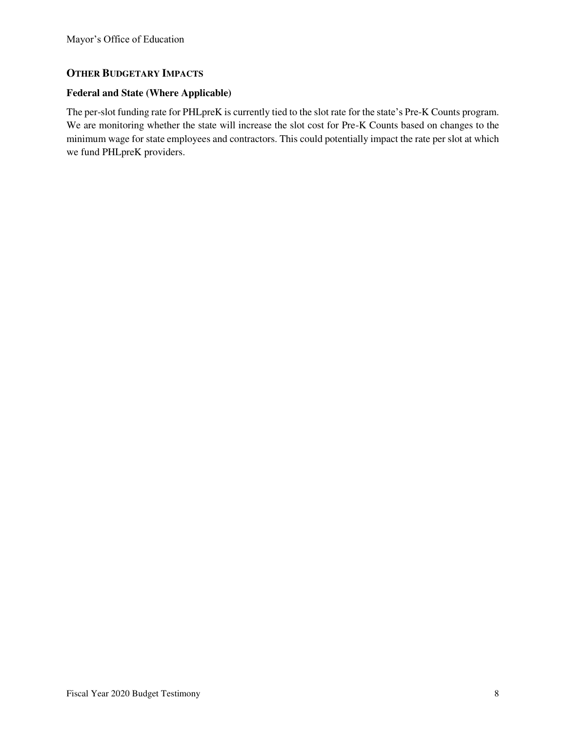### **OTHER BUDGETARY IMPACTS**

#### **Federal and State (Where Applicable)**

The per-slot funding rate for PHLpreK is currently tied to the slot rate for the state's Pre-K Counts program. We are monitoring whether the state will increase the slot cost for Pre-K Counts based on changes to the minimum wage for state employees and contractors. This could potentially impact the rate per slot at which we fund PHLpreK providers.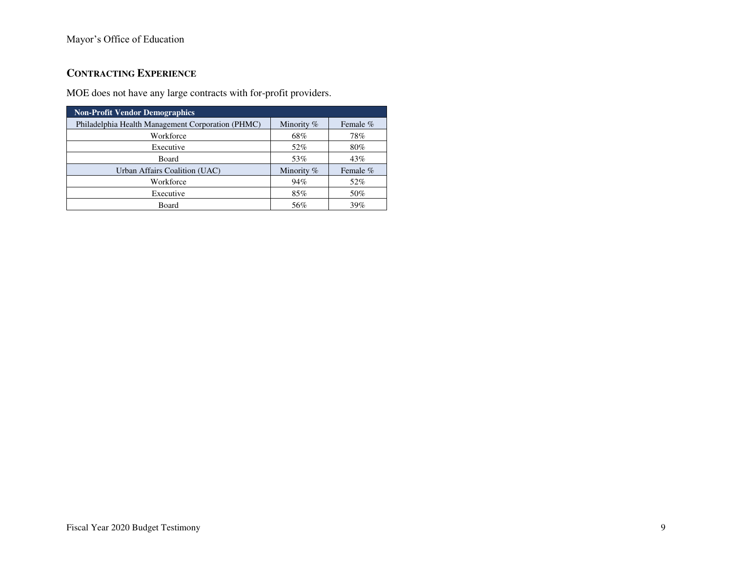### Mayor's Office of Education

# **CONTRACTING EXPERIENCE**

MOE does not have any large contracts with for-profit providers.

| <b>Non-Profit Vendor Demographics</b>             |              |          |  |  |  |
|---------------------------------------------------|--------------|----------|--|--|--|
| Philadelphia Health Management Corporation (PHMC) | Minority $%$ | Female % |  |  |  |
| Workforce                                         | 68%          | 78%      |  |  |  |
| Executive                                         | 52%          | 80%      |  |  |  |
| Board                                             | 53%          | 43%      |  |  |  |
| Urban Affairs Coalition (UAC)                     | Minority %   | Female % |  |  |  |
| Workforce                                         | 94%          | 52%      |  |  |  |
| Executive                                         | 85%          | 50%      |  |  |  |
| Board                                             | 56%          | 39%      |  |  |  |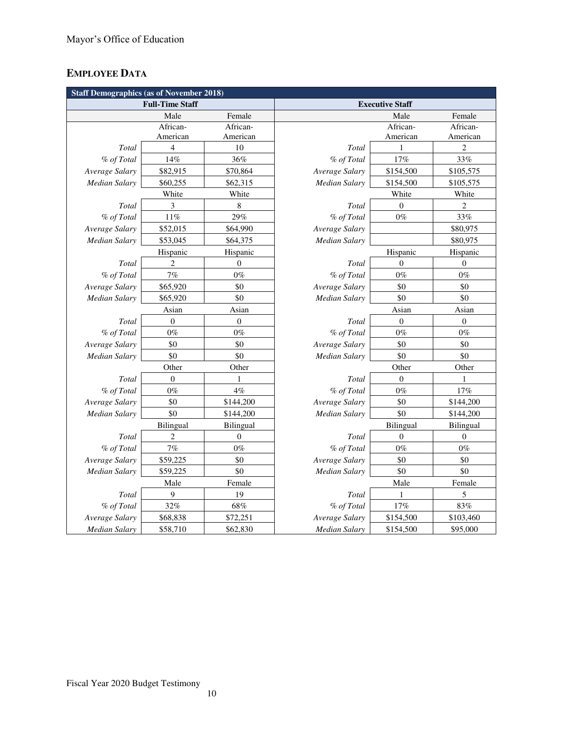# **EMPLOYEE DATA**

| <b>Staff Demographics (as of November 2018)</b> |                  |                  |                      |                        |                         |
|-------------------------------------------------|------------------|------------------|----------------------|------------------------|-------------------------|
| <b>Full-Time Staff</b>                          |                  |                  |                      | <b>Executive Staff</b> |                         |
|                                                 | Male             | Female           |                      | Male                   | Female                  |
|                                                 | African-         | African-         |                      | African-               | African-                |
|                                                 | American         | American         |                      | American               | American                |
| Total                                           | 4                | 10               | Total                | $\mathbf{1}$           | $\overline{\mathbf{c}}$ |
| % of Total                                      | 14%              | 36%              | % of Total           | 17%                    | 33%                     |
| Average Salary                                  | \$82,915         | \$70,864         | Average Salary       | \$154,500              | \$105,575               |
| Median Salary                                   | \$60,255         | \$62,315         | Median Salary        | \$154,500              | \$105,575               |
|                                                 | White            | White            |                      | White                  | White                   |
| Total                                           | 3                | 8                | Total                | $\overline{0}$         | $\overline{c}$          |
| % of Total                                      | $11\%$           | 29%              | % of Total           | $0\%$                  | 33%                     |
| Average Salary                                  | \$52,015         | \$64,990         | Average Salary       |                        | \$80,975                |
| Median Salary                                   | \$53,045         | \$64,375         | Median Salary        |                        | \$80,975                |
|                                                 | Hispanic         | Hispanic         |                      | Hispanic               | Hispanic                |
| Total                                           | 2                | $\mathbf{0}$     | Total                | $\mathbf{0}$           | $\boldsymbol{0}$        |
| % of Total                                      | $7\%$            | $0\%$            | % of Total           | $0\%$                  | $0\%$                   |
| Average Salary                                  | \$65,920         | \$0              | Average Salary       | \$0                    | \$0                     |
| Median Salary                                   | \$65,920         | \$0              | Median Salary        | \$0                    | \$0                     |
|                                                 | Asian            | Asian            |                      | Asian                  | Asian                   |
| Total                                           | $\boldsymbol{0}$ | $\boldsymbol{0}$ | Total                | $\boldsymbol{0}$       | $\boldsymbol{0}$        |
| % of Total                                      | $0\%$            | $0\%$            | % of Total           | $0\%$                  | $0\%$                   |
| Average Salary                                  | \$0              | \$0              | Average Salary       | \$0                    | \$0                     |
| Median Salary                                   | \$0              | \$0              | <b>Median Salary</b> | \$0                    | \$0                     |
|                                                 | Other            | Other            |                      | Other                  | Other                   |
| Total                                           | $\overline{0}$   |                  | Total                | $\overline{0}$         | 1                       |
| % of Total                                      | $0\%$            | $4\%$            | % of Total           | $0\%$                  | 17%                     |
| Average Salary                                  | \$0              | \$144,200        | Average Salary       | \$0                    | \$144,200               |
| Median Salary                                   | \$0              | \$144,200        | Median Salary        | \$0                    | \$144,200               |
|                                                 | Bilingual        | Bilingual        |                      | Bilingual              | Bilingual               |
| Total                                           | $\overline{c}$   | $\overline{0}$   | Total                | $\boldsymbol{0}$       | $\boldsymbol{0}$        |
| % of Total                                      | $7\%$            | $0\%$            | % of Total           | $0\%$                  | $0\%$                   |
| Average Salary                                  | \$59,225         | \$0              | Average Salary       | \$0                    | \$0                     |
| Median Salary                                   | \$59,225         | \$0              | Median Salary        | \$0                    | \$0                     |
|                                                 | Male             | Female           |                      | Male                   | Female                  |
| Total                                           | 9                | 19               | Total                | 1                      | 5                       |
| % of Total                                      | 32%              | $68\%$           | % of Total           | $17\%$                 | 83%                     |
| Average Salary                                  | \$68,838         | \$72,251         | Average Salary       | \$154,500              | \$103,460               |
| <b>Median Salary</b>                            | \$58,710         | \$62,830         | <b>Median Salary</b> | \$154,500              | \$95,000                |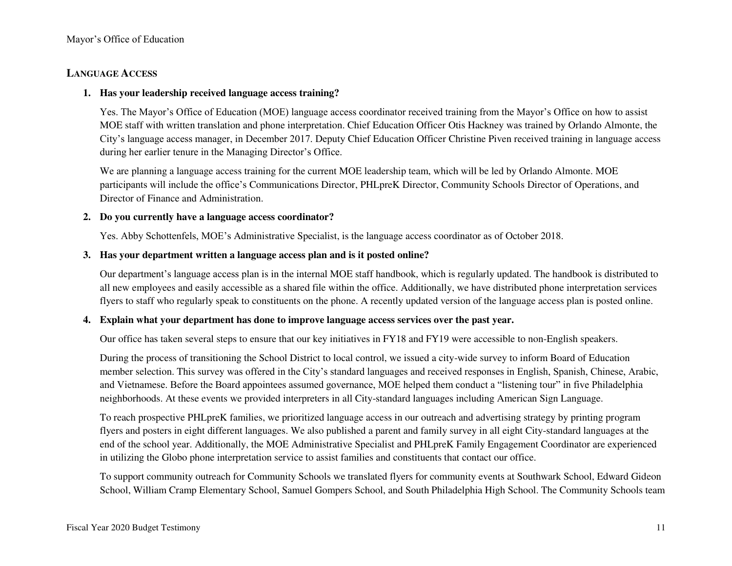### **LANGUAGE ACCESS**

#### **1. Has your leadership received language access training?**

Yes. The Mayor's Office of Education (MOE) language access coordinator received training from the Mayor's Office on how to assist MOE staff with written translation and phone interpretation. Chief Education Officer Otis Hackney was trained by Orlando Almonte, the City's language access manager, in December 2017. Deputy Chief Education Officer Christine Piven received training in language access during her earlier tenure in the Managing Director's Office.

We are planning a language access training for the current MOE leadership team, which will be led by Orlando Almonte. MOE participants will include the office's Communications Director, PHLpreK Director, Community Schools Director of Operations, and Director of Finance and Administration.

#### **2. Do you currently have a language access coordinator?**

Yes. Abby Schottenfels, MOE's Administrative Specialist, is the language access coordinator as of October 2018.

#### **3. Has your department written a language access plan and is it posted online?**

Our department's language access plan is in the internal MOE staff handbook, which is regularly updated. The handbook is distributed to all new employees and easily accessible as a shared file within the office. Additionally, we have distributed phone interpretation services flyers to staff who regularly speak to constituents on the phone. A recently updated version of the language access plan is posted online.

#### **4. Explain what your department has done to improve language access services over the past year.**

Our office has taken several steps to ensure that our key initiatives in FY18 and FY19 were accessible to non-English speakers.

During the process of transitioning the School District to local control, we issued a city-wide survey to inform Board of Education member selection. This survey was offered in the City's standard languages and received responses in English, Spanish, Chinese, Arabic, and Vietnamese. Before the Board appointees assumed governance, MOE helped them conduct a "listening tour" in five Philadelphia neighborhoods. At these events we provided interpreters in all City-standard languages including American Sign Language.

To reach prospective PHLpreK families, we prioritized language access in our outreach and advertising strategy by printing program flyers and posters in eight different languages. We also published a parent and family survey in all eight City-standard languages at the end of the school year. Additionally, the MOE Administrative Specialist and PHLpreK Family Engagement Coordinator are experienced in utilizing the Globo phone interpretation service to assist families and constituents that contact our office.

To support community outreach for Community Schools we translated flyers for community events at Southwark School, Edward Gideon School, William Cramp Elementary School, Samuel Gompers School, and South Philadelphia High School. The Community Schools team